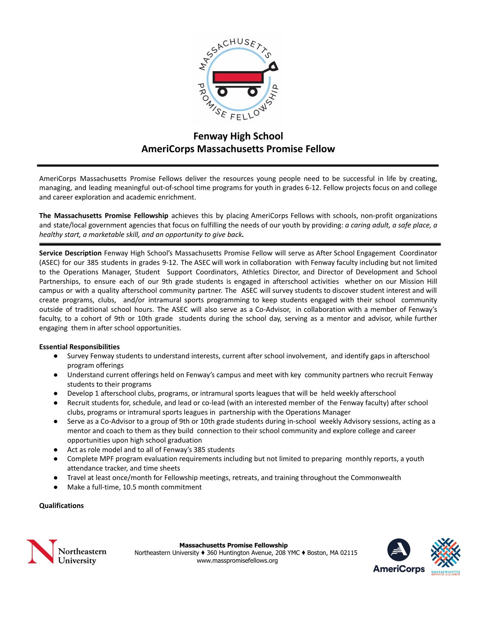

# **Fenway High School AmeriCorps Massachusetts Promise Fellow**

AmeriCorps Massachusetts Promise Fellows deliver the resources young people need to be successful in life by creating, managing, and leading meaningful out-of-school time programs for youth in grades 6-12. Fellow projects focus on and college and career exploration and academic enrichment.

**The Massachusetts Promise Fellowship** achieves this by placing AmeriCorps Fellows with schools, non-profit organizations and state/local government agencies that focus on fulfilling the needs of our youth by providing: *a caring adult, a safe place, a healthy start, a marketable skill, and an opportunity to give back.*

**Service Description** Fenway High School's Massachusetts Promise Fellow will serve as After School Engagement Coordinator (ASEC) for our 385 students in grades 9-12. The ASEC will work in collaboration with Fenway faculty including but not limited to the Operations Manager, Student Support Coordinators, Athletics Director, and Director of Development and School Partnerships, to ensure each of our 9th grade students is engaged in afterschool activities whether on our Mission Hill campus or with a quality afterschool community partner. The ASEC will survey students to discover student interest and will create programs, clubs, and/or intramural sports programming to keep students engaged with their school community outside of traditional school hours. The ASEC will also serve as a Co-Advisor, in collaboration with a member of Fenway's faculty, to a cohort of 9th or 10th grade students during the school day, serving as a mentor and advisor, while further engaging them in after school opportunities.

# **Essential Responsibilities**

- Survey Fenway students to understand interests, current after school involvement, and identify gaps in afterschool program offerings
- Understand current offerings held on Fenway's campus and meet with key community partners who recruit Fenway students to their programs
- Develop 1 afterschool clubs, programs, or intramural sports leagues that will be held weekly afterschool
- Recruit students for, schedule, and lead or co-lead (with an interested member of the Fenway faculty) after school clubs, programs or intramural sports leagues in partnership with the Operations Manager
- Serve as a Co-Advisor to a group of 9th or 10th grade students during in-school weekly Advisory sessions, acting as a mentor and coach to them as they build connection to their school community and explore college and career opportunities upon high school graduation
- Act as role model and to all of Fenway's 385 students
- Complete MPF program evaluation requirements including but not limited to preparing monthly reports, a youth attendance tracker, and time sheets
- Travel at least once/month for Fellowship meetings, retreats, and training throughout the Commonwealth
- Make a full-time, 10.5 month commitment

# **Qualifications**



**Massachusetts Promise Fellowship** Northeastern University ♦ 360 Huntington Avenue, 208 YMC ♦ Boston, MA 02115 www.masspromisefellows.org